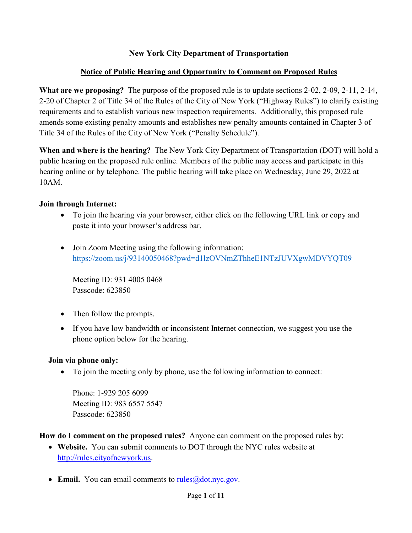#### **New York City Department of Transportation**

### **Notice of Public Hearing and Opportunity to Comment on Proposed Rules**

**What are we proposing?** The purpose of the proposed rule is to update sections 2-02, 2-09, 2-11, 2-14, 2-20 of Chapter 2 of Title 34 of the Rules of the City of New York ("Highway Rules") to clarify existing requirements and to establish various new inspection requirements. Additionally, this proposed rule amends some existing penalty amounts and establishes new penalty amounts contained in Chapter 3 of Title 34 of the Rules of the City of New York ("Penalty Schedule").

**When and where is the hearing?** The New York City Department of Transportation (DOT) will hold a public hearing on the proposed rule online. Members of the public may access and participate in this hearing online or by telephone. The public hearing will take place on Wednesday, June 29, 2022 at 10AM.

### **Join through Internet:**

- To join the hearing via your browser, either click on the following URL link or copy and paste it into your browser's address bar.
- Join Zoom Meeting using the following information: <https://zoom.us/j/93140050468?pwd=d1lzOVNmZThheE1NTzJUVXgwMDVYQT09>

Meeting ID: 931 4005 0468 Passcode: 623850

- Then follow the prompts.
- If you have low bandwidth or inconsistent Internet connection, we suggest you use the phone option below for the hearing.

#### **Join via phone only:**

• To join the meeting only by phone, use the following information to connect:

Phone: 1-929 205 6099 Meeting ID: 983 6557 5547 Passcode: 623850

#### **How do I comment on the proposed rules?** Anyone can comment on the proposed rules by:

- **Website.** You can submit comments to DOT through the NYC rules website at [http://rules.cityofnewyork.us.](http://rules.cityofnewyork.us/)
- **Email.** You can email comments to [rules@dot.nyc.gov.](mailto:rules@dot.nyc.gov)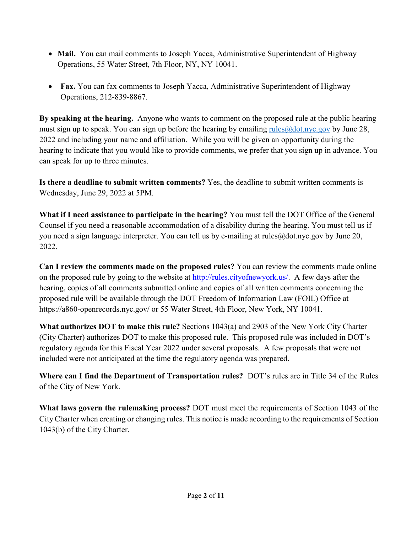- **Mail.** You can mail comments to Joseph Yacca, Administrative Superintendent of Highway Operations, 55 Water Street, 7th Floor, NY, NY 10041.
- **Fax.** You can fax comments to Joseph Yacca, Administrative Superintendent of Highway Operations, 212-839-8867.

**By speaking at the hearing.** Anyone who wants to comment on the proposed rule at the public hearing must sign up to speak. You can sign up before the hearing by emailing  $rule@dot.nyc.gov$  by June 28, 2022 and including your name and affiliation. While you will be given an opportunity during the hearing to indicate that you would like to provide comments, we prefer that you sign up in advance. You can speak for up to three minutes.

**Is there a deadline to submit written comments?** Yes, the deadline to submit written comments is Wednesday, June 29, 2022 at 5PM.

**What if I need assistance to participate in the hearing?** You must tell the DOT Office of the General Counsel if you need a reasonable accommodation of a disability during the hearing. You must tell us if you need a sign language interpreter. You can tell us by e-mailing at rules@dot.nyc.gov by June 20, 2022.

**Can I review the comments made on the proposed rules?** You can review the comments made online on the proposed rule by going to the website at [http://rules.cityofnewyork.us/.](http://rules.cityofnewyork.us/) A few days after the hearing, copies of all comments submitted online and copies of all written comments concerning the proposed rule will be available through the DOT Freedom of Information Law (FOIL) Office at https://a860-openrecords.nyc.gov/ or 55 Water Street, 4th Floor, New York, NY 10041.

**What authorizes DOT to make this rule?** Sections 1043(a) and 2903 of the New York City Charter (City Charter) authorizes DOT to make this proposed rule. This proposed rule was included in DOT's regulatory agenda for this Fiscal Year 2022 under several proposals. A few proposals that were not included were not anticipated at the time the regulatory agenda was prepared.

**Where can I find the Department of Transportation rules?** DOT's rules are in Title 34 of the Rules of the City of New York.

**What laws govern the rulemaking process?** DOT must meet the requirements of Section 1043 of the City Charter when creating or changing rules. This notice is made according to the requirements of Section 1043(b) of the City Charter.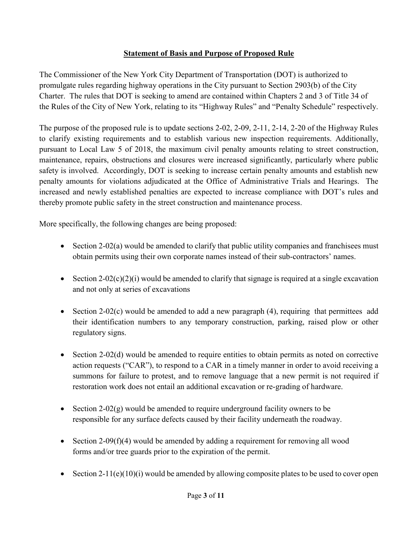#### **Statement of Basis and Purpose of Proposed Rule**

The Commissioner of the New York City Department of Transportation (DOT) is authorized to promulgate rules regarding highway operations in the City pursuant to Section 2903(b) of the City Charter. The rules that DOT is seeking to amend are contained within Chapters 2 and 3 of Title 34 of the Rules of the City of New York, relating to its "Highway Rules" and "Penalty Schedule" respectively.

The purpose of the proposed rule is to update sections 2-02, 2-09, 2-11, 2-14, 2-20 of the Highway Rules to clarify existing requirements and to establish various new inspection requirements. Additionally, pursuant to Local Law 5 of 2018, the maximum civil penalty amounts relating to street construction, maintenance, repairs, obstructions and closures were increased significantly, particularly where public safety is involved. Accordingly, DOT is seeking to increase certain penalty amounts and establish new penalty amounts for violations adjudicated at the Office of Administrative Trials and Hearings. The increased and newly established penalties are expected to increase compliance with DOT's rules and thereby promote public safety in the street construction and maintenance process.

More specifically, the following changes are being proposed:

- Section 2-02(a) would be amended to clarify that public utility companies and franchisees must obtain permits using their own corporate names instead of their sub-contractors' names.
- Section 2-02(c)(2)(i) would be amended to clarify that signage is required at a single excavation and not only at series of excavations
- Section 2-02(c) would be amended to add a new paragraph  $(4)$ , requiring that permittees add their identification numbers to any temporary construction, parking, raised plow or other regulatory signs.
- Section 2-02(d) would be amended to require entities to obtain permits as noted on corrective action requests ("CAR"), to respond to a CAR in a timely manner in order to avoid receiving a summons for failure to protest, and to remove language that a new permit is not required if restoration work does not entail an additional excavation or re-grading of hardware.
- Section 2-02(g) would be amended to require underground facility owners to be responsible for any surface defects caused by their facility underneath the roadway.
- Section 2-09(f)(4) would be amended by adding a requirement for removing all wood forms and/or tree guards prior to the expiration of the permit.
- Section 2-11(e)(10)(i) would be amended by allowing composite plates to be used to cover open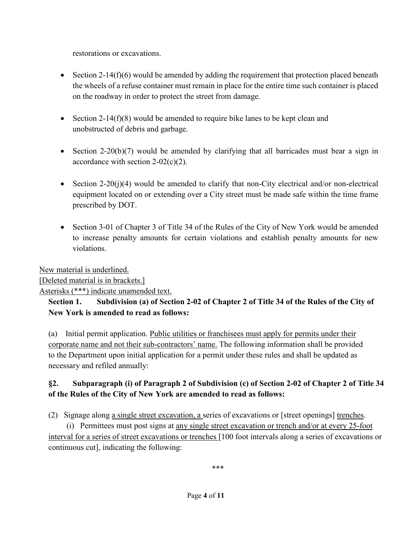restorations or excavations.

- Section 2-14(f)(6) would be amended by adding the requirement that protection placed beneath the wheels of a refuse container must remain in place for the entire time such container is placed on the roadway in order to protect the street from damage.
- Section 2-14(f)(8) would be amended to require bike lanes to be kept clean and unobstructed of debris and garbage.
- Section 2-20(b)(7) would be amended by clarifying that all barricades must bear a sign in accordance with section  $2-02(c)(2)$ .
- Section 2-20(j)(4) would be amended to clarify that non-City electrical and/or non-electrical equipment located on or extending over a City street must be made safe within the time frame prescribed by DOT.
- Section 3-01 of Chapter 3 of Title 34 of the Rules of the City of New York would be amended to increase penalty amounts for certain violations and establish penalty amounts for new violations.

New material is underlined.

[Deleted material is in brackets.]

Asterisks (\*\*\*) indicate unamended text.

# **Section 1. Subdivision (a) of Section 2-02 of Chapter 2 of Title 34 of the Rules of the City of New York is amended to read as follows:**

(a) Initial permit application. Public utilities or franchisees must apply for permits under their corporate name and not their sub-contractors' name. The following information shall be provided to the Department upon initial application for a permit under these rules and shall be updated as necessary and refiled annually:

# **§2. Subparagraph (i) of Paragraph 2 of Subdivision (c) of Section 2-02 of Chapter 2 of Title 34 of the Rules of the City of New York are amended to read as follows:**

(2) Signage along a single street excavation, a series of excavations or [street openings] trenches.

 (i) Permittees must post signs at any single street excavation or trench and/or at every 25-foot interval for a series of street excavations or trenches [100 foot intervals along a series of excavations or continuous cut], indicating the following:

\*\*\*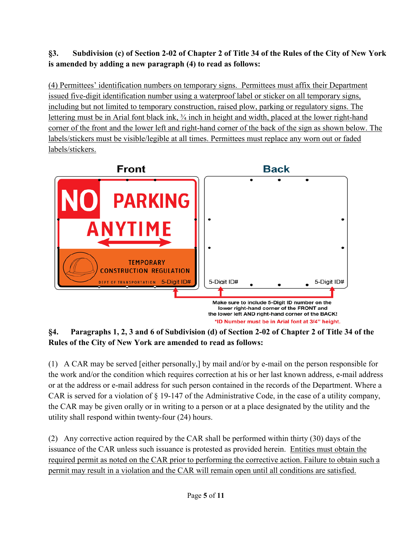# **§3. Subdivision (c) of Section 2-02 of Chapter 2 of Title 34 of the Rules of the City of New York is amended by adding a new paragraph (4) to read as follows:**

(4) Permittees' identification numbers on temporary signs. Permittees must affix their Department issued five-digit identification number using a waterproof label or sticker on all temporary signs, including but not limited to temporary construction, raised plow, parking or regulatory signs. The lettering must be in Arial font black ink, ¾ inch in height and width, placed at the lower right-hand corner of the front and the lower left and right-hand corner of the back of the sign as shown below. The labels/stickers must be visible/legible at all times. Permittees must replace any worn out or faded labels/stickers.



**§4. Paragraphs 1, 2, 3 and 6 of Subdivision (d) of Section 2-02 of Chapter 2 of Title 34 of the Rules of the City of New York are amended to read as follows:** 

(1) A CAR may be served [either personally,] by mail and/or by e-mail on the person responsible for the work and/or the condition which requires correction at his or her last known address, e-mail address or at the address or e-mail address for such person contained in the records of the Department. Where a CAR is served for a violation of § 19-147 of the Administrative Code, in the case of a utility company, the CAR may be given orally or in writing to a person or at a place designated by the utility and the utility shall respond within twenty-four (24) hours.

(2) Any corrective action required by the CAR shall be performed within thirty (30) days of the issuance of the CAR unless such issuance is protested as provided herein. Entities must obtain the required permit as noted on the CAR prior to performing the corrective action. Failure to obtain such a permit may result in a violation and the CAR will remain open until all conditions are satisfied.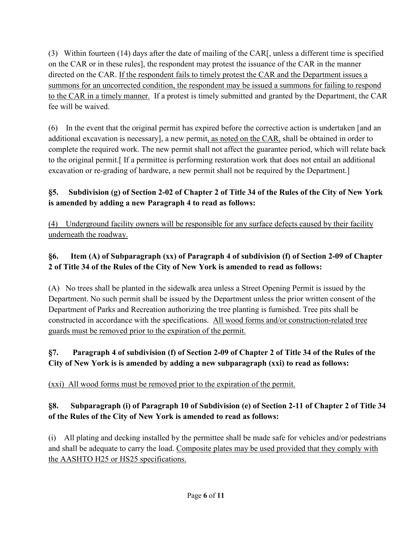(3) Within fourteen (14) days after the date of mailing of the CAR[, unless a different time is specified on the CAR or in these rules], the respondent may protest the issuance of the CAR in the manner directed on the CAR. If the respondent fails to timely protest the CAR and the Department issues a summons for an uncorrected condition, the respondent may be issued a summons for failing to respond to the CAR in a timely manner. If a protest is timely submitted and granted by the Department, the CAR fee will be waived.

(6) In the event that the original permit has expired before the corrective action is undertaken [and an additional excavation is necessary], a new permit, as noted on the CAR, shall be obtained in order to complete the required work. The new permit shall not affect the guarantee period, which will relate back to the original permit.[ If a permittee is performing restoration work that does not entail an additional excavation or re-grading of hardware, a new permit shall not be required by the Department.]

# **§5. Subdivision (g) of Section 2-02 of Chapter 2 of Title 34 of the Rules of the City of New York is amended by adding a new Paragraph 4 to read as follows:**

(4) Underground facility owners will be responsible for any surface defects caused by their facility underneath the roadway.

# **§6. Item (A) of Subparagraph (xx) of Paragraph 4 of subdivision (f) of Section 2-09 of Chapter 2 of Title 34 of the Rules of the City of New York is amended to read as follows:**

(A) No trees shall be planted in the sidewalk area unless a Street Opening Permit is issued by the Department. No such permit shall be issued by the Department unless the prior written consent of the Department of Parks and Recreation authorizing the tree planting is furnished. Tree pits shall be constructed in accordance with the specifications. All wood forms and/or construction-related tree guards must be removed prior to the expiration of the permit.

# **§7. Paragraph 4 of subdivision (f) of Section 2-09 of Chapter 2 of Title 34 of the Rules of the City of New York is is amended by adding a new subparagraph (xxi) to read as follows:**

(xxi) All wood forms must be removed prior to the expiration of the permit.

# **§8. Subparagraph (i) of Paragraph 10 of Subdivision (e) of Section 2-11 of Chapter 2 of Title 34 of the Rules of the City of New York is amended to read as follows:**

(i) All plating and decking installed by the permittee shall be made safe for vehicles and/or pedestrians and shall be adequate to carry the load. Composite plates may be used provided that they comply with the AASHTO H25 or HS25 specifications.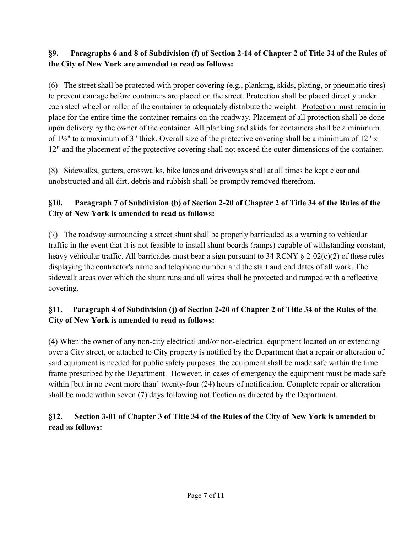### **§9. Paragraphs 6 and 8 of Subdivision (f) of Section 2-14 of Chapter 2 of Title 34 of the Rules of the City of New York are amended to read as follows:**

(6) The street shall be protected with proper covering (e.g., planking, skids, plating, or pneumatic tires) to prevent damage before containers are placed on the street. Protection shall be placed directly under each steel wheel or roller of the container to adequately distribute the weight. Protection must remain in place for the entire time the container remains on the roadway. Placement of all protection shall be done upon delivery by the owner of the container. All planking and skids for containers shall be a minimum of 1½" to a maximum of 3" thick. Overall size of the protective covering shall be a minimum of 12" x 12" and the placement of the protective covering shall not exceed the outer dimensions of the container.

(8) Sidewalks, gutters, crosswalks, bike lanes and driveways shall at all times be kept clear and unobstructed and all dirt, debris and rubbish shall be promptly removed therefrom.

# **§10. Paragraph 7 of Subdivision (b) of Section 2-20 of Chapter 2 of Title 34 of the Rules of the City of New York is amended to read as follows:**

(7) The roadway surrounding a street shunt shall be properly barricaded as a warning to vehicular traffic in the event that it is not feasible to install shunt boards (ramps) capable of withstanding constant, heavy vehicular traffic. All barricades must bear a sign pursuant to 34 RCNY  $\S$  2-02(c)(2) of these rules displaying the contractor's name and telephone number and the start and end dates of all work. The sidewalk areas over which the shunt runs and all wires shall be protected and ramped with a reflective covering.

# **§11. Paragraph 4 of Subdivision (j) of Section 2-20 of Chapter 2 of Title 34 of the Rules of the City of New York is amended to read as follows:**

(4) When the owner of any non-city electrical and/or non-electrical equipment located on or extending over a City street, or attached to City property is notified by the Department that a repair or alteration of said equipment is needed for public safety purposes, the equipment shall be made safe within the time frame prescribed by the Department. However, in cases of emergency the equipment must be made safe within [but in no event more than] twenty-four (24) hours of notification. Complete repair or alteration shall be made within seven (7) days following notification as directed by the Department.

# **§12. Section 3-01 of Chapter 3 of Title 34 of the Rules of the City of New York is amended to read as follows:**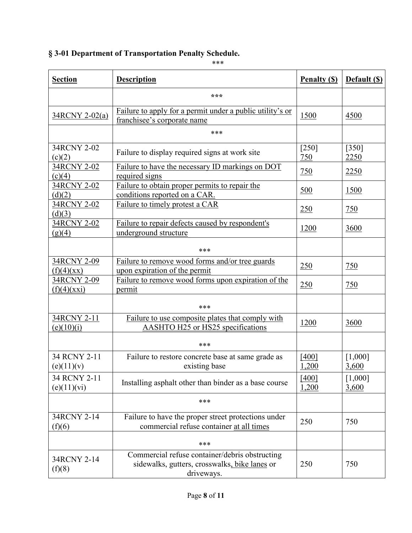# **§ 3-01 Department of Transportation Penalty Schedule.**

\*\*\*

| <b>Section</b>              | <b>Description</b>                                                                                            | <b>Penalty (S)</b> | Default (S)      |
|-----------------------------|---------------------------------------------------------------------------------------------------------------|--------------------|------------------|
|                             | ***                                                                                                           |                    |                  |
| 34RCNY 2-02(a)              | Failure to apply for a permit under a public utility's or<br>franchisee's corporate name                      | 1500               | 4500             |
|                             | ***                                                                                                           |                    |                  |
| 34RCNY 2-02<br>(c)(2)       | Failure to display required signs at work site                                                                | $[250]$<br>750     | $[350]$<br>2250  |
| 34RCNY 2-02<br>(c)(4)       | Failure to have the necessary ID markings on DOT<br>required signs                                            | 750                | 2250             |
| 34RCNY 2-02<br>(d)(2)       | Failure to obtain proper permits to repair the<br>conditions reported on a CAR.                               | 500                | 1500             |
| 34RCNY 2-02<br>(d)(3)       | Failure to timely protest a CAR                                                                               | 250                | 750              |
| 34RCNY 2-02<br>(g)(4)       | Failure to repair defects caused by respondent's<br>underground structure                                     | <u>1200</u>        | 3600             |
|                             | ***                                                                                                           |                    |                  |
| 34RCNY 2-09<br>(f)(4)(xx)   | Failure to remove wood forms and/or tree guards<br>upon expiration of the permit                              | 250                | 750              |
| 34RCNY 2-09<br>(f)(4)(xxi)  | Failure to remove wood forms upon expiration of the<br>permit                                                 | 250                | 750              |
|                             | ***                                                                                                           |                    |                  |
| 34RCNY 2-11<br>(e)(10)(i)   | Failure to use composite plates that comply with<br>AASHTO H25 or HS25 specifications                         | 1200               | 3600             |
|                             | ***                                                                                                           |                    |                  |
| 34 RCNY 2-11<br>(e)(11)(v)  | Failure to restore concrete base at same grade as<br>existing base                                            | [400]<br>1,200     | [1,000]<br>3,600 |
| 34 RCNY 2-11<br>(e)(11)(vi) | Installing asphalt other than binder as a base course                                                         | $[400]$<br>1,200   | [1,000]<br>3,600 |
|                             | ***                                                                                                           |                    |                  |
| 34RCNY 2-14<br>(f)(6)       | Failure to have the proper street protections under<br>commercial refuse container at all times               | 250                | 750              |
|                             | ***                                                                                                           |                    |                  |
| 34RCNY 2-14<br>(f)(8)       | Commercial refuse container/debris obstructing<br>sidewalks, gutters, crosswalks, bike lanes or<br>driveways. | 250                | 750              |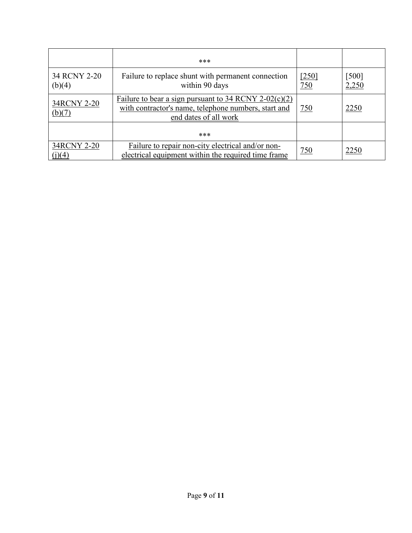|                        | ***                                                                                                                                      |              |                |
|------------------------|------------------------------------------------------------------------------------------------------------------------------------------|--------------|----------------|
| 34 RCNY 2-20<br>(b)(4) | Failure to replace shunt with permanent connection<br>within 90 days                                                                     | [250]<br>750 | [500]<br>2,250 |
| 34RCNY 2-20<br>(b)(7)  | Failure to bear a sign pursuant to $34$ RCNY 2-02(c)(2)<br>with contractor's name, telephone numbers, start and<br>end dates of all work | 750          | 2250           |
|                        | ***                                                                                                                                      |              |                |
| 34RCNY 2-20<br>(j)(4)  | Failure to repair non-city electrical and/or non-<br>electrical equipment within the required time frame                                 | 750          | 2250           |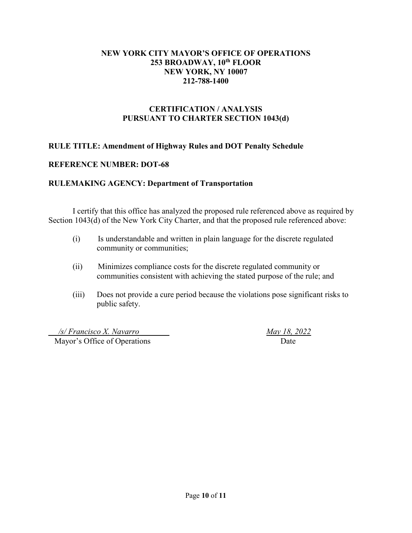#### **NEW YORK CITY MAYOR'S OFFICE OF OPERATIONS 253 BROADWAY, 10th FLOOR NEW YORK, NY 10007 212-788-1400**

#### **CERTIFICATION / ANALYSIS PURSUANT TO CHARTER SECTION 1043(d)**

#### **RULE TITLE: Amendment of Highway Rules and DOT Penalty Schedule**

#### **REFERENCE NUMBER: DOT-68**

#### **RULEMAKING AGENCY: Department of Transportation**

I certify that this office has analyzed the proposed rule referenced above as required by Section 1043(d) of the New York City Charter, and that the proposed rule referenced above:

- (i) Is understandable and written in plain language for the discrete regulated community or communities;
- (ii) Minimizes compliance costs for the discrete regulated community or communities consistent with achieving the stated purpose of the rule; and
- (iii) Does not provide a cure period because the violations pose significant risks to public safety.

 */s/ Francisco X. Navarro May 18, 2022* Mayor's Office of Operations